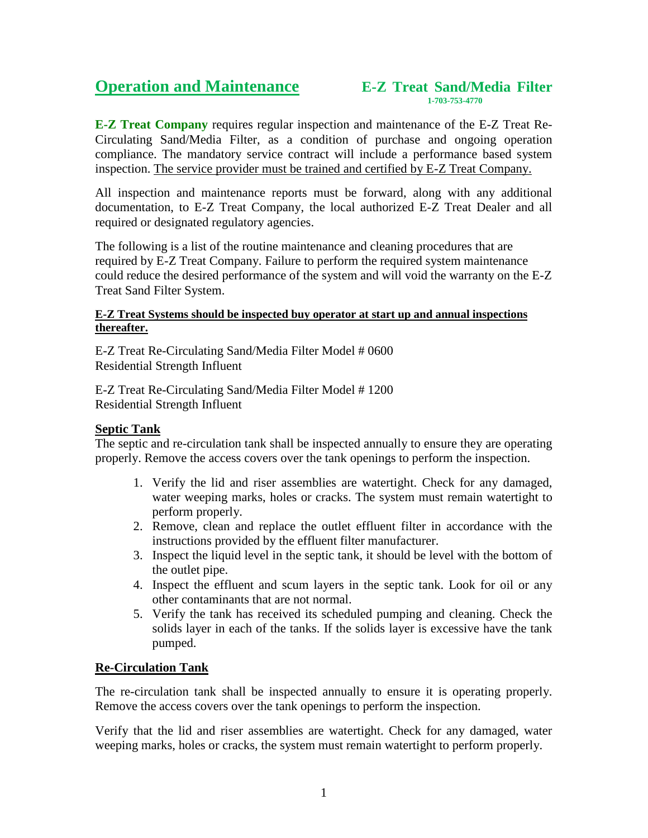# **Operation and Maintenance** E-Z Treat Sand/Media Filter

**E-Z Treat Company** requires regular inspection and maintenance of the E-Z Treat Re-Circulating Sand/Media Filter, as a condition of purchase and ongoing operation compliance. The mandatory service contract will include a performance based system inspection. The service provider must be trained and certified by E-Z Treat Company.

All inspection and maintenance reports must be forward, along with any additional documentation, to E-Z Treat Company, the local authorized E-Z Treat Dealer and all required or designated regulatory agencies.

The following is a list of the routine maintenance and cleaning procedures that are required by E-Z Treat Company. Failure to perform the required system maintenance could reduce the desired performance of the system and will void the warranty on the E-Z Treat Sand Filter System.

### **E-Z Treat Systems should be inspected buy operator at start up and annual inspections thereafter.**

E-Z Treat Re-Circulating Sand/Media Filter Model # 0600 Residential Strength Influent

E-Z Treat Re-Circulating Sand/Media Filter Model # 1200 Residential Strength Influent

## **Septic Tank**

The septic and re-circulation tank shall be inspected annually to ensure they are operating properly. Remove the access covers over the tank openings to perform the inspection.

- 1. Verify the lid and riser assemblies are watertight. Check for any damaged, water weeping marks, holes or cracks. The system must remain watertight to perform properly.
- 2. Remove, clean and replace the outlet effluent filter in accordance with the instructions provided by the effluent filter manufacturer.
- 3. Inspect the liquid level in the septic tank, it should be level with the bottom of the outlet pipe.
- 4. Inspect the effluent and scum layers in the septic tank. Look for oil or any other contaminants that are not normal.
- 5. Verify the tank has received its scheduled pumping and cleaning. Check the solids layer in each of the tanks. If the solids layer is excessive have the tank pumped.

## **Re-Circulation Tank**

The re-circulation tank shall be inspected annually to ensure it is operating properly. Remove the access covers over the tank openings to perform the inspection.

Verify that the lid and riser assemblies are watertight. Check for any damaged, water weeping marks, holes or cracks, the system must remain watertight to perform properly.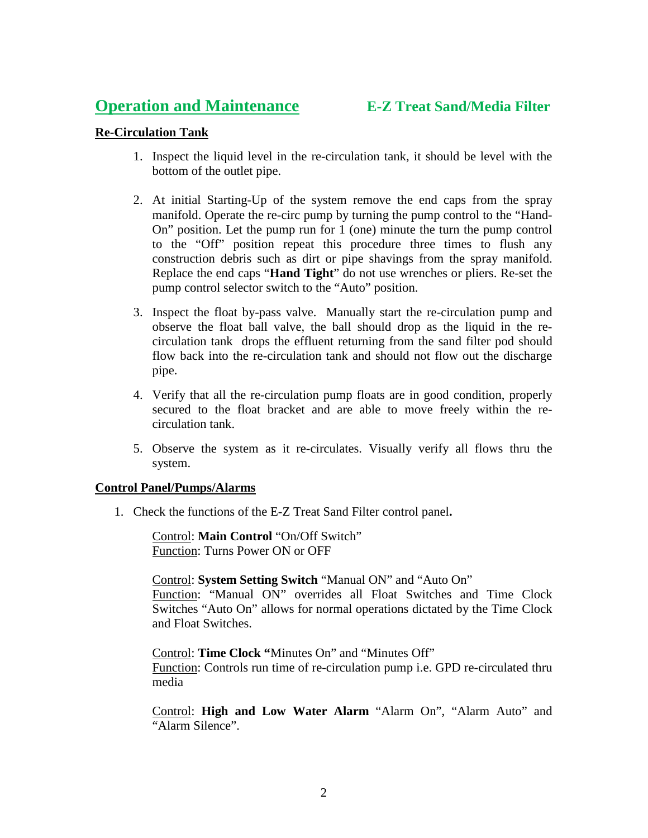## **Operation and Maintenance E-Z Treat Sand/Media Filter**

## **Re-Circulation Tank**

- 1. Inspect the liquid level in the re-circulation tank, it should be level with the bottom of the outlet pipe.
- 2. At initial Starting-Up of the system remove the end caps from the spray manifold. Operate the re-circ pump by turning the pump control to the "Hand-On" position. Let the pump run for 1 (one) minute the turn the pump control to the "Off" position repeat this procedure three times to flush any construction debris such as dirt or pipe shavings from the spray manifold. Replace the end caps "**Hand Tight**" do not use wrenches or pliers. Re-set the pump control selector switch to the "Auto" position.
- 3. Inspect the float by-pass valve. Manually start the re-circulation pump and observe the float ball valve, the ball should drop as the liquid in the recirculation tank drops the effluent returning from the sand filter pod should flow back into the re-circulation tank and should not flow out the discharge pipe.
- 4. Verify that all the re-circulation pump floats are in good condition, properly secured to the float bracket and are able to move freely within the recirculation tank.
- 5. Observe the system as it re-circulates. Visually verify all flows thru the system.

### **Control Panel/Pumps/Alarms**

1. Check the functions of the E-Z Treat Sand Filter control panel**.**

Control: **Main Control** "On/Off Switch" Function: Turns Power ON or OFF

Control: **System Setting Switch** "Manual ON" and "Auto On" Function: "Manual ON" overrides all Float Switches and Time Clock Switches "Auto On" allows for normal operations dictated by the Time Clock and Float Switches.

Control: **Time Clock "**Minutes On" and "Minutes Off" Function: Controls run time of re-circulation pump i.e. GPD re-circulated thru media

Control: **High and Low Water Alarm** "Alarm On", "Alarm Auto" and "Alarm Silence".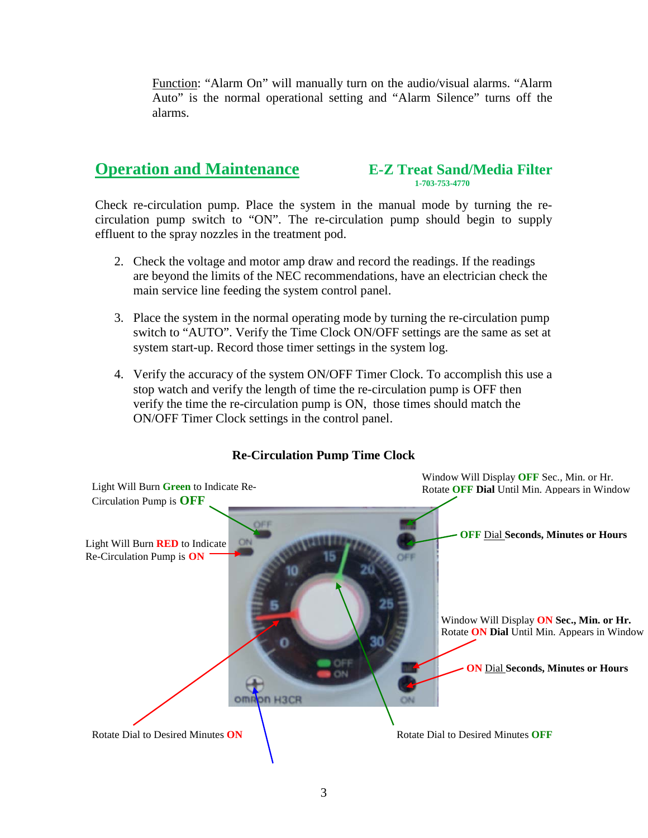Function: "Alarm On" will manually turn on the audio/visual alarms. "Alarm Auto" is the normal operational setting and "Alarm Silence" turns off the alarms.

# **Operation and Maintenance** E-Z Treat Sand/Media Filter

Check re-circulation pump. Place the system in the manual mode by turning the recirculation pump switch to "ON". The re-circulation pump should begin to supply effluent to the spray nozzles in the treatment pod.

- 2. Check the voltage and motor amp draw and record the readings. If the readings are beyond the limits of the NEC recommendations, have an electrician check the main service line feeding the system control panel.
- 3. Place the system in the normal operating mode by turning the re-circulation pump switch to "AUTO". Verify the Time Clock ON/OFF settings are the same as set at system start-up. Record those timer settings in the system log.
- 4. Verify the accuracy of the system ON/OFF Timer Clock. To accomplish this use a stop watch and verify the length of time the re-circulation pump is OFF then verify the time the re-circulation pump is ON, those times should match the ON/OFF Timer Clock settings in the control panel.



## **Re-Circulation Pump Time Clock**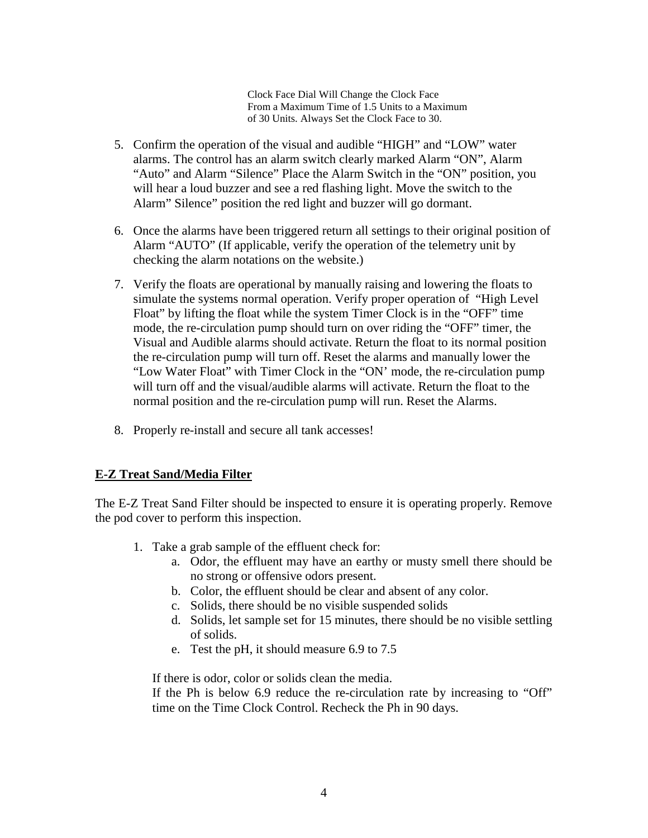Clock Face Dial Will Change the Clock Face From a Maximum Time of 1.5 Units to a Maximum of 30 Units. Always Set the Clock Face to 30.

- 5. Confirm the operation of the visual and audible "HIGH" and "LOW" water alarms. The control has an alarm switch clearly marked Alarm "ON", Alarm "Auto" and Alarm "Silence" Place the Alarm Switch in the "ON" position, you will hear a loud buzzer and see a red flashing light. Move the switch to the Alarm" Silence" position the red light and buzzer will go dormant.
- 6. Once the alarms have been triggered return all settings to their original position of Alarm "AUTO" (If applicable, verify the operation of the telemetry unit by checking the alarm notations on the website.)
- 7. Verify the floats are operational by manually raising and lowering the floats to simulate the systems normal operation. Verify proper operation of "High Level Float" by lifting the float while the system Timer Clock is in the "OFF" time mode, the re-circulation pump should turn on over riding the "OFF" timer, the Visual and Audible alarms should activate. Return the float to its normal position the re-circulation pump will turn off. Reset the alarms and manually lower the "Low Water Float" with Timer Clock in the "ON' mode, the re-circulation pump will turn off and the visual/audible alarms will activate. Return the float to the normal position and the re-circulation pump will run. Reset the Alarms.
- 8. Properly re-install and secure all tank accesses!

## **E-Z Treat Sand/Media Filter**

The E-Z Treat Sand Filter should be inspected to ensure it is operating properly. Remove the pod cover to perform this inspection.

- 1. Take a grab sample of the effluent check for:
	- a. Odor, the effluent may have an earthy or musty smell there should be no strong or offensive odors present.
	- b. Color, the effluent should be clear and absent of any color.
	- c. Solids, there should be no visible suspended solids
	- d. Solids, let sample set for 15 minutes, there should be no visible settling of solids.
	- e. Test the pH, it should measure 6.9 to 7.5

If there is odor, color or solids clean the media.

If the Ph is below 6.9 reduce the re-circulation rate by increasing to "Off" time on the Time Clock Control. Recheck the Ph in 90 days.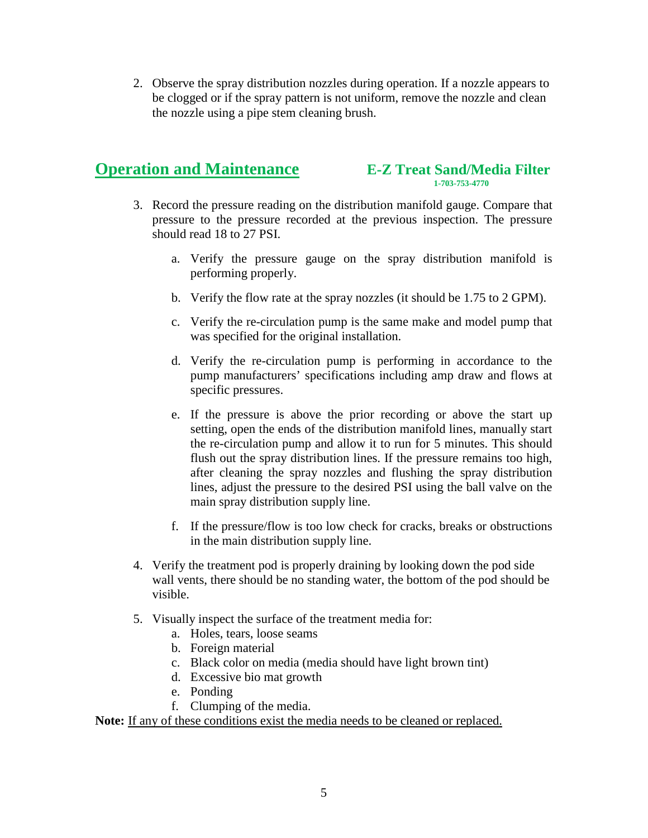2. Observe the spray distribution nozzles during operation. If a nozzle appears to be clogged or if the spray pattern is not uniform, remove the nozzle and clean the nozzle using a pipe stem cleaning brush.

# **Operation and Maintenance E-Z Treat Sand/Media Filter**

- 3. Record the pressure reading on the distribution manifold gauge. Compare that pressure to the pressure recorded at the previous inspection. The pressure should read 18 to 27 PSI.
	- a. Verify the pressure gauge on the spray distribution manifold is performing properly.
	- b. Verify the flow rate at the spray nozzles (it should be 1.75 to 2 GPM).
	- c. Verify the re-circulation pump is the same make and model pump that was specified for the original installation.
	- d. Verify the re-circulation pump is performing in accordance to the pump manufacturers' specifications including amp draw and flows at specific pressures.
	- e. If the pressure is above the prior recording or above the start up setting, open the ends of the distribution manifold lines, manually start the re-circulation pump and allow it to run for 5 minutes. This should flush out the spray distribution lines. If the pressure remains too high, after cleaning the spray nozzles and flushing the spray distribution lines, adjust the pressure to the desired PSI using the ball valve on the main spray distribution supply line.
	- f. If the pressure/flow is too low check for cracks, breaks or obstructions in the main distribution supply line.
- 4. Verify the treatment pod is properly draining by looking down the pod side wall vents, there should be no standing water, the bottom of the pod should be visible.
- 5. Visually inspect the surface of the treatment media for:
	- a. Holes, tears, loose seams
	- b. Foreign material
	- c. Black color on media (media should have light brown tint)
	- d. Excessive bio mat growth
	- e. Ponding
	- f. Clumping of the media.

Note: If any of these conditions exist the media needs to be cleaned or replaced.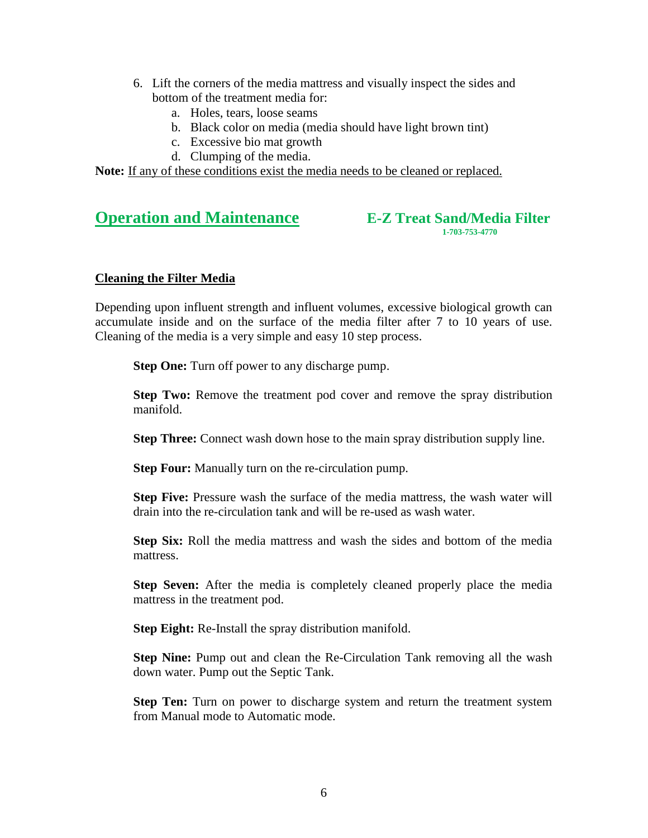- 6. Lift the corners of the media mattress and visually inspect the sides and bottom of the treatment media for:
	- a. Holes, tears, loose seams
	- b. Black color on media (media should have light brown tint)
	- c. Excessive bio mat growth
	- d. Clumping of the media.

Note: If any of these conditions exist the media needs to be cleaned or replaced.

# **Operation and Maintenance E-Z Treat Sand/Media Filter**

## **Cleaning the Filter Media**

Depending upon influent strength and influent volumes, excessive biological growth can accumulate inside and on the surface of the media filter after 7 to 10 years of use. Cleaning of the media is a very simple and easy 10 step process.

**Step One:** Turn off power to any discharge pump.

**Step Two:** Remove the treatment pod cover and remove the spray distribution manifold.

**Step Three:** Connect wash down hose to the main spray distribution supply line.

**Step Four:** Manually turn on the re-circulation pump.

**Step Five:** Pressure wash the surface of the media mattress, the wash water will drain into the re-circulation tank and will be re-used as wash water.

**Step Six:** Roll the media mattress and wash the sides and bottom of the media mattress.

**Step Seven:** After the media is completely cleaned properly place the media mattress in the treatment pod.

**Step Eight:** Re-Install the spray distribution manifold.

**Step Nine:** Pump out and clean the Re-Circulation Tank removing all the wash down water. Pump out the Septic Tank.

**Step Ten:** Turn on power to discharge system and return the treatment system from Manual mode to Automatic mode.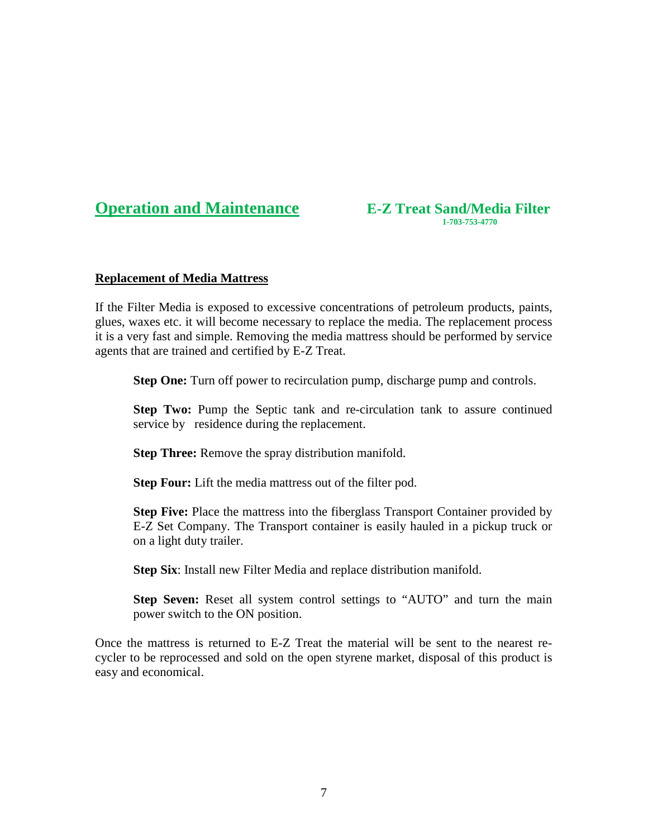**Operation and Maintenance E-Z Treat Sand/Media Filter** 1-703-753-4770

### **Replacement of Media Mattress**

If the Filter Media is exposed to excessive concentrations of petroleum products, paints, glues, waxes etc. it will become necessary to replace the media. The replacement process it is a very fast and simple. Removing the media mattress should be performed by service agents that are trained and certified by E-Z Treat.

**Step One:** Turn off power to recirculation pump, discharge pump and controls.

**Step Two:** Pump the Septic tank and re-circulation tank to assure continued service by residence during the replacement.

**Step Three:** Remove the spray distribution manifold.

**Step Four:** Lift the media mattress out of the filter pod.

**Step Five:** Place the mattress into the fiberglass Transport Container provided by E-Z Set Company. The Transport container is easily hauled in a pickup truck or on a light duty trailer.

**Step Six**: Install new Filter Media and replace distribution manifold.

**Step Seven:** Reset all system control settings to "AUTO" and turn the main power switch to the ON position.

Once the mattress is returned to E-Z Treat the material will be sent to the nearest recycler to be reprocessed and sold on the open styrene market, disposal of this product is easy and economical.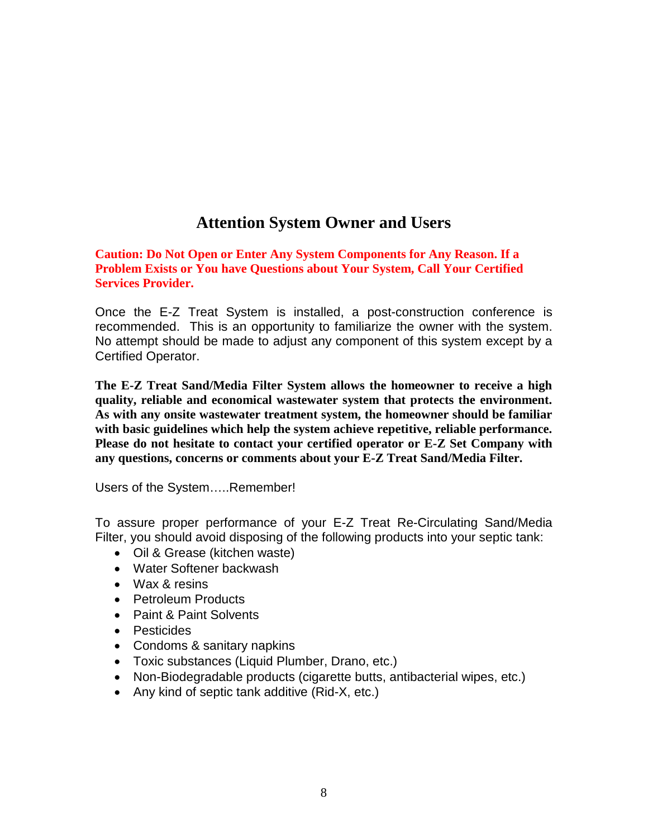## **Attention System Owner and Users**

**Caution: Do Not Open or Enter Any System Components for Any Reason. If a Problem Exists or You have Questions about Your System, Call Your Certified Services Provider.**

Once the E-Z Treat System is installed, a post-construction conference is recommended. This is an opportunity to familiarize the owner with the system. No attempt should be made to adjust any component of this system except by a Certified Operator.

**The E-Z Treat Sand/Media Filter System allows the homeowner to receive a high quality, reliable and economical wastewater system that protects the environment. As with any onsite wastewater treatment system, the homeowner should be familiar with basic guidelines which help the system achieve repetitive, reliable performance. Please do not hesitate to contact your certified operator or E-Z Set Company with any questions, concerns or comments about your E-Z Treat Sand/Media Filter.**

Users of the System…..Remember!

To assure proper performance of your E-Z Treat Re-Circulating Sand/Media Filter, you should avoid disposing of the following products into your septic tank:

- Oil & Grease (kitchen waste)
- Water Softener backwash
- Wax & resins
- Petroleum Products
- Paint & Paint Solvents
- Pesticides
- Condoms & sanitary napkins
- Toxic substances (Liquid Plumber, Drano, etc.)
- Non-Biodegradable products (cigarette butts, antibacterial wipes, etc.)
- Any kind of septic tank additive (Rid-X, etc.)